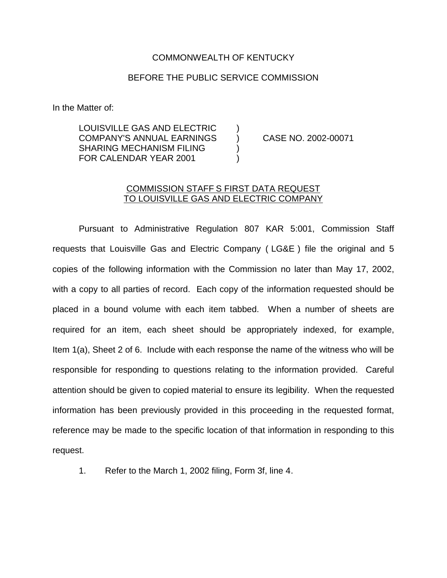## COMMONWEALTH OF KENTUCKY

## BEFORE THE PUBLIC SERVICE COMMISSION

In the Matter of:

LOUISVILLE GAS AND ELECTRIC ) COMPANY'S ANNUAL EARNINGS ) CASE NO. 2002-00071 SHARING MECHANISM FILING FOR CALENDAR YEAR 2001

## COMMISSION STAFF S FIRST DATA REQUEST TO LOUISVILLE GAS AND ELECTRIC COMPANY

Pursuant to Administrative Regulation 807 KAR 5:001, Commission Staff requests that Louisville Gas and Electric Company ( LG&E ) file the original and 5 copies of the following information with the Commission no later than May 17, 2002, with a copy to all parties of record. Each copy of the information requested should be placed in a bound volume with each item tabbed. When a number of sheets are required for an item, each sheet should be appropriately indexed, for example, Item 1(a), Sheet 2 of 6. Include with each response the name of the witness who will be responsible for responding to questions relating to the information provided. Careful attention should be given to copied material to ensure its legibility. When the requested information has been previously provided in this proceeding in the requested format, reference may be made to the specific location of that information in responding to this request.

1. Refer to the March 1, 2002 filing, Form 3f, line 4.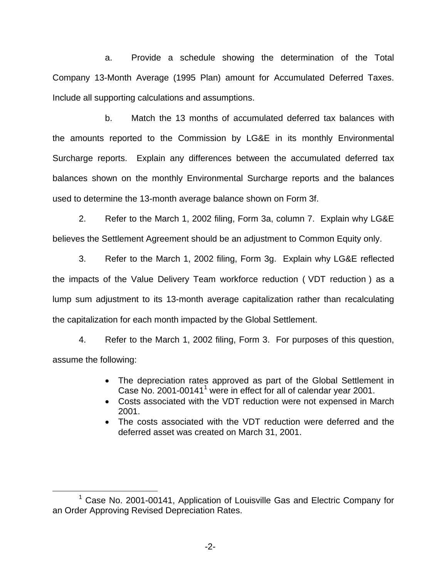a. Provide a schedule showing the determination of the Total Company 13-Month Average (1995 Plan) amount for Accumulated Deferred Taxes. Include all supporting calculations and assumptions.

b. Match the 13 months of accumulated deferred tax balances with the amounts reported to the Commission by LG&E in its monthly Environmental Surcharge reports. Explain any differences between the accumulated deferred tax balances shown on the monthly Environmental Surcharge reports and the balances used to determine the 13-month average balance shown on Form 3f.

2. Refer to the March 1, 2002 filing, Form 3a, column 7. Explain why LG&E believes the Settlement Agreement should be an adjustment to Common Equity only.

3. Refer to the March 1, 2002 filing, Form 3g. Explain why LG&E reflected the impacts of the Value Delivery Team workforce reduction ( VDT reduction ) as a lump sum adjustment to its 13-month average capitalization rather than recalculating the capitalization for each month impacted by the Global Settlement.

4. Refer to the March 1, 2002 filing, Form 3. For purposes of this question, assume the following:

- The depreciation rates approved as part of the Global Settlement in Case No. 2001-00141<sup>1</sup> were in effect for all of calendar year 2001.
- Costs associated with the VDT reduction were not expensed in March 2001.
- The costs associated with the VDT reduction were deferred and the deferred asset was created on March 31, 2001.

<sup>&</sup>lt;sup>1</sup> Case No. 2001-00141, Application of Louisville Gas and Electric Company for an Order Approving Revised Depreciation Rates.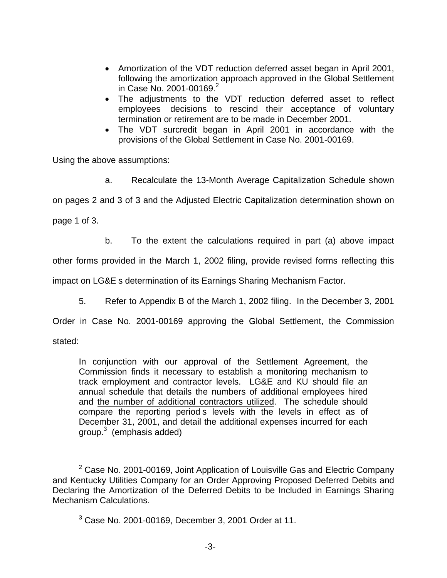- Amortization of the VDT reduction deferred asset began in April 2001, following the amortization approach approved in the Global Settlement in Case No. 2001-00169. $^{2}$
- The adjustments to the VDT reduction deferred asset to reflect employees decisions to rescind their acceptance of voluntary termination or retirement are to be made in December 2001.
- The VDT surcredit began in April 2001 in accordance with the provisions of the Global Settlement in Case No. 2001-00169.

Using the above assumptions:

a. Recalculate the 13-Month Average Capitalization Schedule shown

on pages 2 and 3 of 3 and the Adjusted Electric Capitalization determination shown on

page 1 of 3.

b. To the extent the calculations required in part (a) above impact

other forms provided in the March 1, 2002 filing, provide revised forms reflecting this

impact on LG&E s determination of its Earnings Sharing Mechanism Factor.

5. Refer to Appendix B of the March 1, 2002 filing. In the December 3, 2001

Order in Case No. 2001-00169 approving the Global Settlement, the Commission stated:

In conjunction with our approval of the Settlement Agreement, the Commission finds it necessary to establish a monitoring mechanism to track employment and contractor levels. LG&E and KU should file an annual schedule that details the numbers of additional employees hired and the number of additional contractors utilized. The schedule should compare the reporting period s levels with the levels in effect as of December 31, 2001, and detail the additional expenses incurred for each  $q$ roup. $3$  (emphasis added)

 $2$  Case No. 2001-00169, Joint Application of Louisville Gas and Electric Company and Kentucky Utilities Company for an Order Approving Proposed Deferred Debits and Declaring the Amortization of the Deferred Debits to be Included in Earnings Sharing Mechanism Calculations.

<sup>3</sup> Case No. 2001-00169, December 3, 2001 Order at 11.